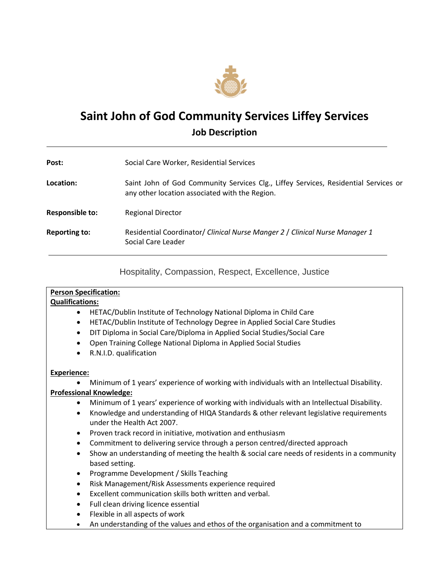

# **Saint John of God Community Services Liffey Services Job Description**

| Post:                | Social Care Worker, Residential Services                                                                                              |
|----------------------|---------------------------------------------------------------------------------------------------------------------------------------|
| Location:            | Saint John of God Community Services Clg., Liffey Services, Residential Services or<br>any other location associated with the Region. |
| Responsible to:      | <b>Regional Director</b>                                                                                                              |
| <b>Reporting to:</b> | Residential Coordinator/ Clinical Nurse Manger 2 / Clinical Nurse Manager 1<br>Social Care Leader                                     |

Hospitality, Compassion, Respect, Excellence, Justice

# **Person Specification:**

#### **Qualifications:**

- HETAC/Dublin Institute of Technology National Diploma in Child Care
- HETAC/Dublin Institute of Technology Degree in Applied Social Care Studies
- DIT Diploma in Social Care/Diploma in Applied Social Studies/Social Care
- Open Training College National Diploma in Applied Social Studies
- R.N.I.D. qualification

#### **Experience:**

Minimum of 1 years' experience of working with individuals with an Intellectual Disability.

# **Professional Knowledge:**

- Minimum of 1 years' experience of working with individuals with an Intellectual Disability.
- Knowledge and understanding of HIQA Standards & other relevant legislative requirements under the Health Act 2007.
- Proven track record in initiative, motivation and enthusiasm
- Commitment to delivering service through a person centred/directed approach
- Show an understanding of meeting the health & social care needs of residents in a community based setting.
- Programme Development / Skills Teaching
- Risk Management/Risk Assessments experience required
- Excellent communication skills both written and verbal.
- Full clean driving licence essential
- Flexible in all aspects of work
- An understanding of the values and ethos of the organisation and a commitment to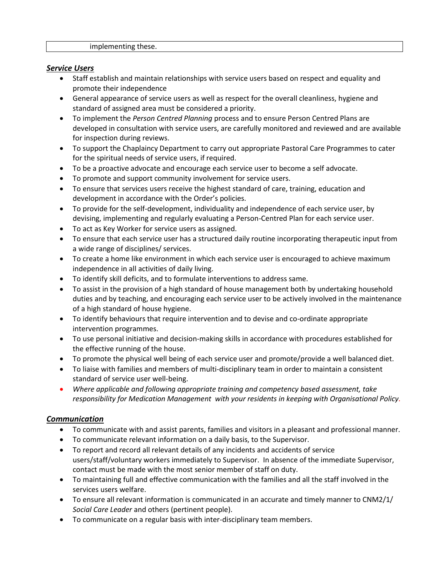#### implementing these.

#### *Service Users*

- Staff establish and maintain relationships with service users based on respect and equality and promote their independence
- General appearance of service users as well as respect for the overall cleanliness, hygiene and standard of assigned area must be considered a priority.
- To implement the *Person Centred Planning* process and to ensure Person Centred Plans are developed in consultation with service users, are carefully monitored and reviewed and are available for inspection during reviews.
- To support the Chaplaincy Department to carry out appropriate Pastoral Care Programmes to cater for the spiritual needs of service users, if required.
- To be a proactive advocate and encourage each service user to become a self advocate.
- To promote and support community involvement for service users.
- To ensure that services users receive the highest standard of care, training, education and development in accordance with the Order's policies.
- To provide for the self-development, individuality and independence of each service user, by devising, implementing and regularly evaluating a Person-Centred Plan for each service user.
- To act as Key Worker for service users as assigned.
- To ensure that each service user has a structured daily routine incorporating therapeutic input from a wide range of disciplines/ services.
- To create a home like environment in which each service user is encouraged to achieve maximum independence in all activities of daily living.
- To identify skill deficits, and to formulate interventions to address same.
- To assist in the provision of a high standard of house management both by undertaking household duties and by teaching, and encouraging each service user to be actively involved in the maintenance of a high standard of house hygiene.
- To identify behaviours that require intervention and to devise and co-ordinate appropriate intervention programmes.
- To use personal initiative and decision-making skills in accordance with procedures established for the effective running of the house.
- To promote the physical well being of each service user and promote/provide a well balanced diet.
- To liaise with families and members of multi-disciplinary team in order to maintain a consistent standard of service user well-being.
- *Where applicable and following appropriate training and competency based assessment, take responsibility for Medication Management with your residents in keeping with Organisational Policy.*

#### *Communication*

- To communicate with and assist parents, families and visitors in a pleasant and professional manner.
- To communicate relevant information on a daily basis, to the Supervisor.
- To report and record all relevant details of any incidents and accidents of service users/staff/voluntary workers immediately to Supervisor. In absence of the immediate Supervisor, contact must be made with the most senior member of staff on duty.
- To maintaining full and effective communication with the families and all the staff involved in the services users welfare.
- To ensure all relevant information is communicated in an accurate and timely manner to CNM2/1/ *Social Care Leader* and others (pertinent people).
- To communicate on a regular basis with inter-disciplinary team members.